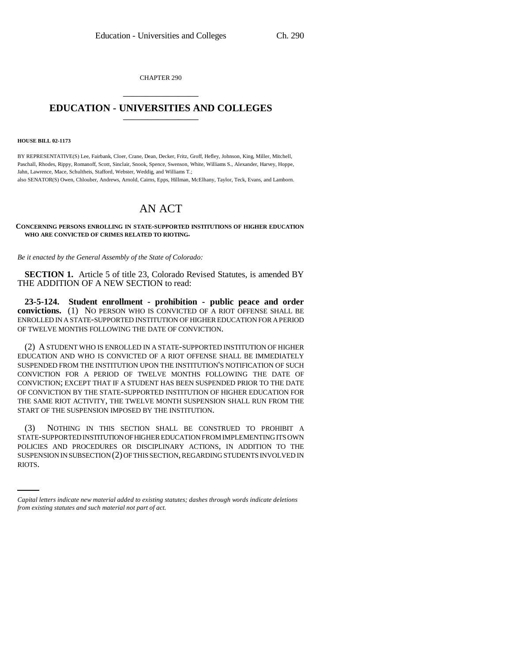CHAPTER 290 \_\_\_\_\_\_\_\_\_\_\_\_\_\_\_

## **EDUCATION - UNIVERSITIES AND COLLEGES** \_\_\_\_\_\_\_\_\_\_\_\_\_\_\_

## **HOUSE BILL 02-1173**

BY REPRESENTATIVE(S) Lee, Fairbank, Cloer, Crane, Dean, Decker, Fritz, Groff, Hefley, Johnson, King, Miller, Mitchell, Paschall, Rhodes, Rippy, Romanoff, Scott, Sinclair, Snook, Spence, Swenson, White, Williams S., Alexander, Harvey, Hoppe, Jahn, Lawrence, Mace, Schultheis, Stafford, Webster, Weddig, and Williams T.;

also SENATOR(S) Owen, Chlouber, Andrews, Arnold, Cairns, Epps, Hillman, McElhany, Taylor, Teck, Evans, and Lamborn.

## AN ACT

## **CONCERNING PERSONS ENROLLING IN STATE-SUPPORTED INSTITUTIONS OF HIGHER EDUCATION WHO ARE CONVICTED OF CRIMES RELATED TO RIOTING.**

*Be it enacted by the General Assembly of the State of Colorado:*

**SECTION 1.** Article 5 of title 23, Colorado Revised Statutes, is amended BY THE ADDITION OF A NEW SECTION to read:

**23-5-124. Student enrollment - prohibition - public peace and order convictions.** (1) NO PERSON WHO IS CONVICTED OF A RIOT OFFENSE SHALL BE ENROLLED IN A STATE-SUPPORTED INSTITUTION OF HIGHER EDUCATION FOR A PERIOD OF TWELVE MONTHS FOLLOWING THE DATE OF CONVICTION.

(2) A STUDENT WHO IS ENROLLED IN A STATE-SUPPORTED INSTITUTION OF HIGHER EDUCATION AND WHO IS CONVICTED OF A RIOT OFFENSE SHALL BE IMMEDIATELY SUSPENDED FROM THE INSTITUTION UPON THE INSTITUTION'S NOTIFICATION OF SUCH CONVICTION FOR A PERIOD OF TWELVE MONTHS FOLLOWING THE DATE OF CONVICTION; EXCEPT THAT IF A STUDENT HAS BEEN SUSPENDED PRIOR TO THE DATE OF CONVICTION BY THE STATE-SUPPORTED INSTITUTION OF HIGHER EDUCATION FOR THE SAME RIOT ACTIVITY, THE TWELVE MONTH SUSPENSION SHALL RUN FROM THE START OF THE SUSPENSION IMPOSED BY THE INSTITUTION.

POLICIES AND PROCEDURES OR DISCIPLINARY ACTIONS, IN ADDITION TO THE (3) NOTHING IN THIS SECTION SHALL BE CONSTRUED TO PROHIBIT A STATE-SUPPORTED INSTITUTION OF HIGHER EDUCATION FROM IMPLEMENTING ITS OWN SUSPENSION IN SUBSECTION (2) OF THIS SECTION, REGARDING STUDENTS INVOLVED IN RIOTS.

*Capital letters indicate new material added to existing statutes; dashes through words indicate deletions from existing statutes and such material not part of act.*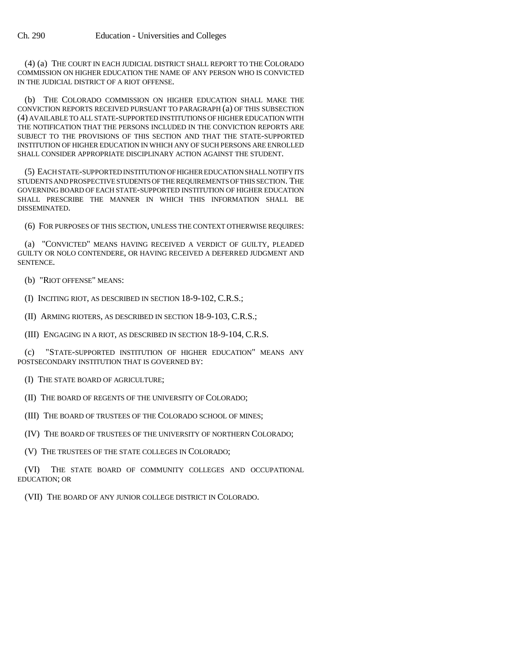(4) (a) THE COURT IN EACH JUDICIAL DISTRICT SHALL REPORT TO THE COLORADO COMMISSION ON HIGHER EDUCATION THE NAME OF ANY PERSON WHO IS CONVICTED IN THE JUDICIAL DISTRICT OF A RIOT OFFENSE.

(b) THE COLORADO COMMISSION ON HIGHER EDUCATION SHALL MAKE THE CONVICTION REPORTS RECEIVED PURSUANT TO PARAGRAPH (a) OF THIS SUBSECTION (4) AVAILABLE TO ALL STATE-SUPPORTED INSTITUTIONS OF HIGHER EDUCATION WITH THE NOTIFICATION THAT THE PERSONS INCLUDED IN THE CONVICTION REPORTS ARE SUBJECT TO THE PROVISIONS OF THIS SECTION AND THAT THE STATE-SUPPORTED INSTITUTION OF HIGHER EDUCATION IN WHICH ANY OF SUCH PERSONS ARE ENROLLED SHALL CONSIDER APPROPRIATE DISCIPLINARY ACTION AGAINST THE STUDENT.

(5) EACH STATE-SUPPORTED INSTITUTION OF HIGHER EDUCATION SHALL NOTIFY ITS STUDENTS AND PROSPECTIVE STUDENTS OF THE REQUIREMENTS OF THIS SECTION. THE GOVERNING BOARD OF EACH STATE-SUPPORTED INSTITUTION OF HIGHER EDUCATION SHALL PRESCRIBE THE MANNER IN WHICH THIS INFORMATION SHALL BE DISSEMINATED.

(6) FOR PURPOSES OF THIS SECTION, UNLESS THE CONTEXT OTHERWISE REQUIRES:

(a) "CONVICTED" MEANS HAVING RECEIVED A VERDICT OF GUILTY, PLEADED GUILTY OR NOLO CONTENDERE, OR HAVING RECEIVED A DEFERRED JUDGMENT AND SENTENCE.

(b) "RIOT OFFENSE" MEANS:

(I) INCITING RIOT, AS DESCRIBED IN SECTION 18-9-102, C.R.S.;

(II) ARMING RIOTERS, AS DESCRIBED IN SECTION 18-9-103, C.R.S.;

(III) ENGAGING IN A RIOT, AS DESCRIBED IN SECTION 18-9-104, C.R.S.

(c) "STATE-SUPPORTED INSTITUTION OF HIGHER EDUCATION" MEANS ANY POSTSECONDARY INSTITUTION THAT IS GOVERNED BY:

(I) THE STATE BOARD OF AGRICULTURE;

(II) THE BOARD OF REGENTS OF THE UNIVERSITY OF COLORADO;

(III) THE BOARD OF TRUSTEES OF THE COLORADO SCHOOL OF MINES;

(IV) THE BOARD OF TRUSTEES OF THE UNIVERSITY OF NORTHERN COLORADO;

(V) THE TRUSTEES OF THE STATE COLLEGES IN COLORADO;

(VI) THE STATE BOARD OF COMMUNITY COLLEGES AND OCCUPATIONAL EDUCATION; OR

(VII) THE BOARD OF ANY JUNIOR COLLEGE DISTRICT IN COLORADO.